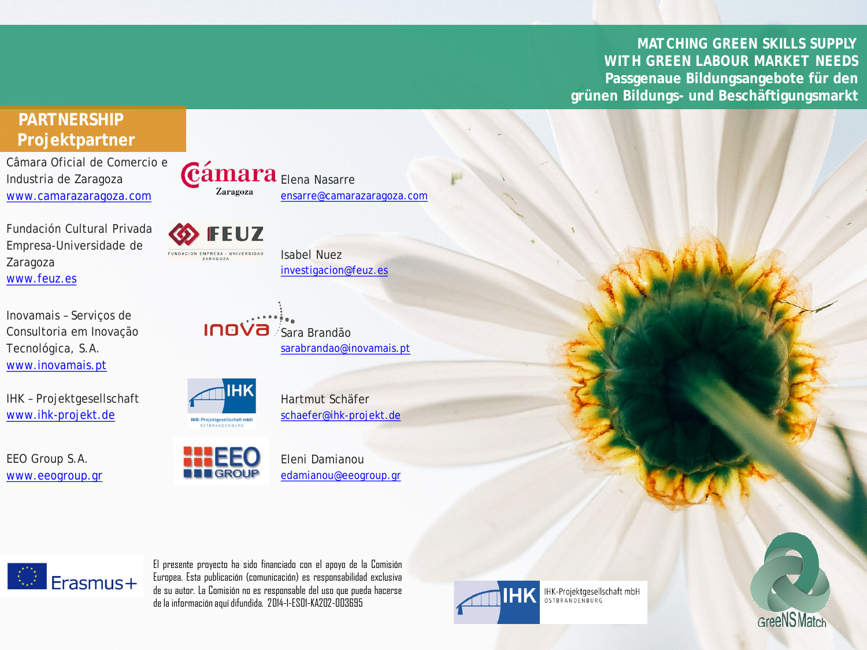*MATCHING GREEN SKILLS SUPPLY WITH GREEN LABOUR MARKET NEEDS* **Passgenaue Bildungsangebote für den grünen Bildungs- und Beschäftigungsmarkt**

## **PARTNERSHIP Projektpartner**

Câmara Oficial de Comercio e Industria de Zaragoza [www.camarazaragoza.com](http://www.camarazaragoza.com/)

Fundación Cultural Privada Empresa-Universidade de Zaragoza [www.feuz.es](http://www.feuz.es/)

Inovamais – Serviços de Consultoria em Inovação Tecnológica, S.A. [www.inovamais.pt](http://www.inovamais.pt/)

IHK – Projektgesellschaft [www.ihk-projekt.de](http://www.ihk-projekt.de/)

EEO Group S.A. [www.eeogroup.gr](http://www.eeogroup.gr/)

**FEUZ** FUNDACIÓN EMPRESA - UNIVERSIDAD

ZARAGOZA

Zaragoza

Isabel Nuez [investigacion@feuz.es](mailto:investigacion@feuz.es)

**Cámara** Elena Nasarre



**HK-Projektoesellschaft mbH** 

Hartmut Schäfer [schaefer@ihk-projekt.de](mailto:schaefer@ihk-projekt.de)

[sarabrandao@inovamais.pt](mailto:sarabrandao@inovamais.pt)

[ensarre@camarazaragoza.com](mailto:ensarre@camarazaragoza.com)



Eleni Damianou [edamianou@eeogroup.gr](mailto:edamianou@eeogroup.gr) 



El presente proyecto ha sido financiado con el apoyo de la Comisión Europea. Esta publicación (comunicación) es responsabilidad exclusiva de su autor. La Comisión no es responsable del uso que pueda hacerse dela informaciónaquídifundida. 2014-1-ES01-KA202-003695



IHK-Projektgesellschaft mbH